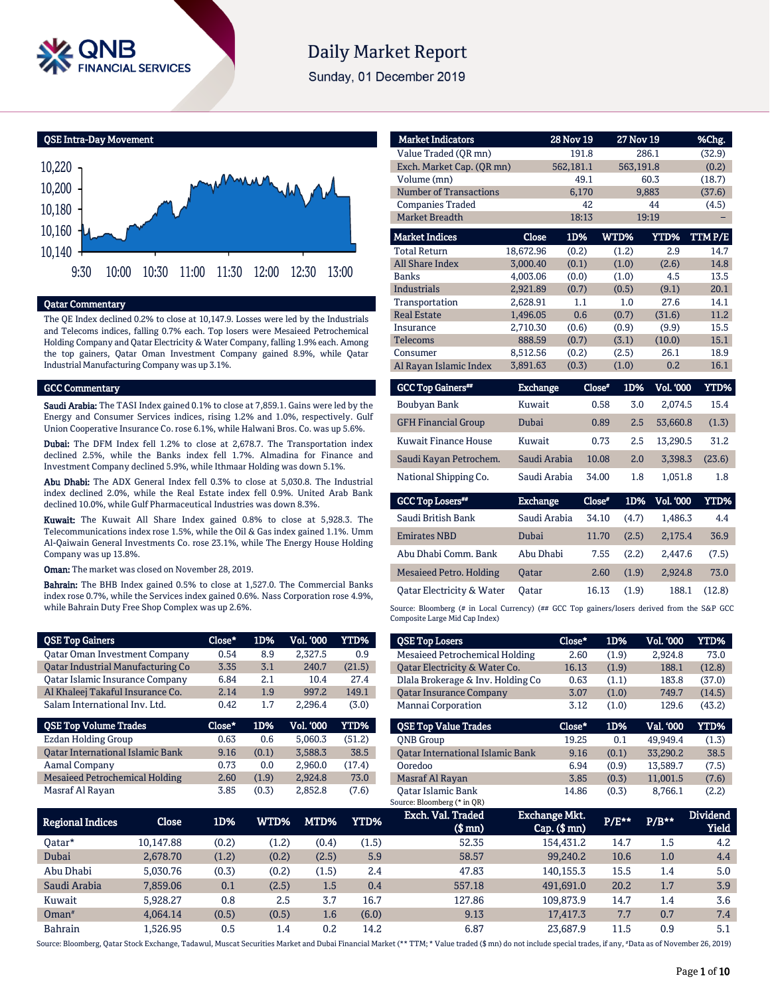

# **Daily Market Report**

Sunday, 01 December 2019

QSE Intra-Day Movement



## Qatar Commentary

The QE Index declined 0.2% to close at 10,147.9. Losses were led by the Industrials and Telecoms indices, falling 0.7% each. Top losers were Mesaieed Petrochemical Holding Company and Qatar Electricity & Water Company, falling 1.9% each. Among the top gainers, Qatar Oman Investment Company gained 8.9%, while Qatar Industrial Manufacturing Company was up 3.1%.

#### GCC Commentary

Saudi Arabia: The TASI Index gained 0.1% to close at 7,859.1. Gains were led by the Energy and Consumer Services indices, rising 1.2% and 1.0%, respectively. Gulf Union Cooperative Insurance Co. rose 6.1%, while Halwani Bros. Co. was up 5.6%.

Dubai: The DFM Index fell 1.2% to close at 2,678.7. The Transportation index declined 2.5%, while the Banks index fell 1.7%. Almadina for Finance and Investment Company declined 5.9%, while Ithmaar Holding was down 5.1%.

Abu Dhabi: The ADX General Index fell 0.3% to close at 5,030.8. The Industrial index declined 2.0%, while the Real Estate index fell 0.9%. United Arab Bank declined 10.0%, while Gulf Pharmaceutical Industries was down 8.3%.

Kuwait: The Kuwait All Share Index gained 0.8% to close at 5,928.3. The Telecommunications index rose 1.5%, while the Oil & Gas index gained 1.1%. Umm Al-Qaiwain General Investments Co. rose 23.1%, while The Energy House Holding Company was up 13.8%.

Oman: The market was closed on November 28, 2019.

Bahrain: The BHB Index gained 0.5% to close at 1,527.0. The Commercial Banks index rose 0.7%, while the Services index gained 0.6%. Nass Corporation rose 4.9%, while Bahrain Duty Free Shop Complex was up 2.6%.

| <b>QSE Top Gainers</b>                   | Close* | 1D%   | <b>Vol. '000</b> | YTD%        |
|------------------------------------------|--------|-------|------------------|-------------|
| <b>Qatar Oman Investment Company</b>     | 0.54   | 8.9   | 2,327.5          | 0.9         |
| <b>Qatar Industrial Manufacturing Co</b> | 3.35   | 3.1   | 240.7            | (21.5)      |
| Qatar Islamic Insurance Company          | 6.84   | 2.1   | 10.4             | 27.4        |
| Al Khaleej Takaful Insurance Co.         | 2.14   | 1.9   | 997.2            | 149.1       |
| Salam International Inv. Ltd.            | 0.42   | 1.7   | 2.296.4          | (3.0)       |
|                                          |        |       |                  |             |
| <b>QSE Top Volume Trades</b>             | Close* | 1D%   | <b>Vol. '000</b> | <b>YTD%</b> |
| Ezdan Holding Group                      | 0.63   | 0.6   | 5.060.3          | (51.2)      |
| <b>Qatar International Islamic Bank</b>  | 9.16   | (0.1) | 3.588.3          | 38.5        |
| Aamal Company                            | 0.73   | 0.0   | 2.960.0          | (17.4)      |
| <b>Mesaieed Petrochemical Holding</b>    | 2.60   | (1.9) | 2,924.8          | 73.0        |

| <b>Market Indicators</b>       |                 | <b>28 Nov 19</b> |        | <b>27 Nov 19</b> |                  | %Chg.       |
|--------------------------------|-----------------|------------------|--------|------------------|------------------|-------------|
| Value Traded (QR mn)           |                 | 191.8            |        |                  | 286.1            | (32.9)      |
| Exch. Market Cap. (OR mn)      |                 | 562,181.1        |        | 563,191.8        |                  | (0.2)       |
| Volume (mn)                    |                 | 49.1             |        |                  | 60.3             | (18.7)      |
| <b>Number of Transactions</b>  |                 | 6,170            |        |                  | 9,883            | (37.6)      |
| <b>Companies Traded</b>        |                 | 42               |        |                  | 44               | (4.5)       |
| <b>Market Breadth</b>          |                 | 18:13            |        |                  | 19:19            |             |
| <b>Market Indices</b>          | Close           | 1D%              |        | WTD%             | <b>YTD%</b>      | TTMP/E      |
| <b>Total Return</b>            | 18,672.96       | (0.2)            |        | (1.2)            | 2.9              | 14.7        |
| <b>All Share Index</b>         | 3.000.40        | (0.1)            |        | (1.0)            | (2.6)            | 14.8        |
| <b>Banks</b>                   | 4,003.06        | (0.0)            |        | (1.0)            | 4.5              | 13.5        |
| <b>Industrials</b>             | 2,921.89        | (0.7)            |        | (0.5)            | (9.1)            | 20.1        |
| Transportation                 | 2,628.91        | 1.1              |        | 1.0              | 27.6             | 14.1        |
| <b>Real Estate</b>             | 1,496.05        | 0.6              |        | (0.7)            | (31.6)           | 11.2        |
| Insurance                      | 2,710.30        | (0.6)            |        | (0.9)            | (9.9)            | 15.5        |
| <b>Telecoms</b>                | 888.59          | (0.7)            |        | (3.1)            | (10.0)           | 15.1        |
| Consumer                       | 8,512.56        | (0.2)            |        | (2.5)            | 26.1             | 18.9        |
| Al Rayan Islamic Index         | 3,891.63        | (0.3)            |        | (1.0)            | 0.2              | 16.1        |
| <b>GCC Top Gainers**</b>       | <b>Exchange</b> |                  | Close* | 1D%              | Vol. '000        | <b>YTD%</b> |
| Boubyan Bank                   | Kuwait          |                  | 0.58   | 3.0              | 2.074.5          | 15.4        |
| <b>GFH Financial Group</b>     | Dubai           |                  | 0.89   | 2.5              | 53,660.8         | (1.3)       |
| Kuwait Finance House           | Kuwait          |                  | 0.73   | 2.5              | 13,290.5         | 31.2        |
| Saudi Kayan Petrochem.         | Saudi Arabia    |                  | 10.08  | 2.0              | 3,398.3          | (23.6)      |
| National Shipping Co.          | Saudi Arabia    |                  | 34.00  | 1.8              | 1,051.8          | 1.8         |
| <b>GCC Top Losers</b>          | <b>Exchange</b> |                  | Close* | 1D%              | <b>Vol. '000</b> | YTD%        |
| Saudi British Bank             | Saudi Arabia    |                  | 34.10  | (4.7)            | 1,486.3          | 4.4         |
| <b>Emirates NBD</b>            | Dubai           |                  | 11.70  | (2.5)            | 2,175.4          | 36.9        |
| Abu Dhabi Comm. Bank           | Abu Dhabi       |                  | 7.55   | (2.2)            | 2,447.6          | (7.5)       |
| <b>Mesaieed Petro. Holding</b> | <b>Oatar</b>    |                  | 2.60   | (1.9)            | 2.924.8          | 73.0        |
| Qatar Electricity & Water      | Oatar           |                  | 16.13  | (1.9)            | 188.1            | (12.8)      |

Source: Bloomberg (# in Local Currency) (## GCC Top gainers/losers derived from the S&P GCC Composite Large Mid Cap Index)

| <b>QSE Top Losers</b>                   | Close* | 1D%   | <b>Vol. '000</b> | YTD%   |
|-----------------------------------------|--------|-------|------------------|--------|
| <b>Mesaieed Petrochemical Holding</b>   | 2.60   | (1.9) | 2.924.8          | 73.0   |
| Qatar Electricity & Water Co.           | 16.13  | (1.9) | 188.1            | (12.8) |
| Dlala Brokerage & Inv. Holding Co       | 0.63   | (1.1) | 183.8            | (37.0) |
| <b>Oatar Insurance Company</b>          | 3.07   | (1.0) | 749.7            | (14.5) |
| Mannai Corporation                      | 3.12   | (1.0) | 129.6            | (43.2) |
|                                         |        |       |                  |        |
| <b>OSE Top Value Trades</b>             | Close* | 1D%   | Val. '000        | YTD%   |
| <b>ONB</b> Group                        | 19.25  | 0.1   | 49.949.4         | (1.3)  |
| <b>Oatar International Islamic Bank</b> | 9.16   | (0.1) | 33,290.2         | 38.5   |
| Ooredoo                                 | 6.94   | (0.9) | 13,589.7         | (7.5)  |
| Masraf Al Rayan                         | 3.85   | (0.3) | 11.001.5         | (7.6)  |

| <b>Regional Indices</b> | Close     | 1D%   | WTD%  | MTD%  | YTD%  | Exch. Val. Traded<br>$$$ mn $)$ | Exchange Mkt.<br>$Cap.$ ( $$rm)$ ) | $P/E***$ | $P/B***$ | <b>Dividend</b><br>Yield |
|-------------------------|-----------|-------|-------|-------|-------|---------------------------------|------------------------------------|----------|----------|--------------------------|
| 0atar*                  | 10.147.88 | (0.2) | (1.2) | (0.4) | (1.5) | 52.35                           | 154.431.2                          | 14.7     | 1.5      | 4.2                      |
| Dubai                   | 2.678.70  | (1.2) | (0.2) | (2.5) | 5.9   | 58.57                           | 99.240.2                           | 10.6     | 1.0      | 4.4                      |
| Abu Dhabi               | 5.030.76  | (0.3) | (0.2) | (1.5) | 2.4   | 47.83                           | 140.155.3                          | 15.5     | 1.4      | 5.0                      |
| Saudi Arabia            | 7.859.06  | 0.1   | (2.5) | 1.5   | 0.4   | 557.18                          | 491.691.0                          | 20.2     | 1.7      | 3.9                      |
| Kuwait                  | 5.928.27  | 0.8   | 2.5   | 3.7   | 16.7  | 127.86                          | 109,873.9                          | 14.7     | 1.4      | 3.6                      |
| $Omega^*$               | 4.064.14  | (0.5) | (0.5) | 1.6   | (6.0) | 9.13                            | 17.417.3                           | 7.7      | 0.7      | 7.4                      |
| <b>Bahrain</b>          | L.526.95  | 0.5   | 1.4   | 0.2   | 14.2  | 6.87                            | 23.687.9                           | 11.5     | 0.9      | 5.1                      |

Source: Bloomberg, Qatar Stock Exchange, Tadawul, Muscat Securities Market and Dubai Financial Market (\*\* TTM; \* Value traded (\$ mn) do not include special trades, if any, #Data as of November 26, 2019)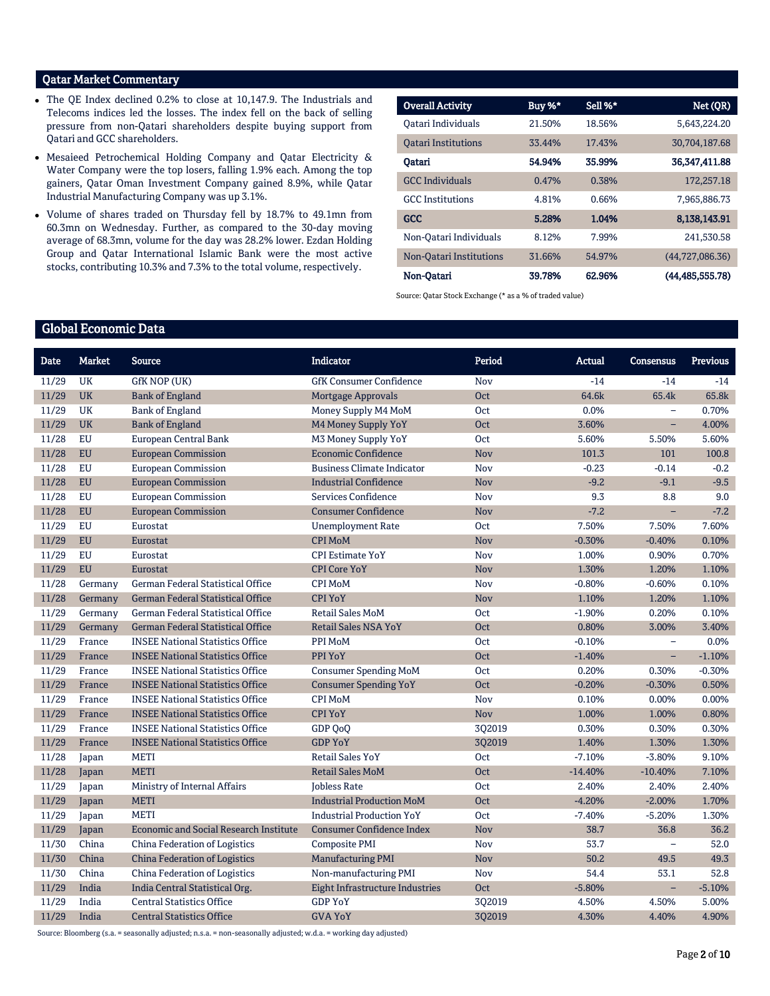# Qatar Market Commentary

- The QE Index declined 0.2% to close at 10,147.9. The Industrials and Telecoms indices led the losses. The index fell on the back of selling pressure from non-Qatari shareholders despite buying support from Qatari and GCC shareholders.
- Mesaieed Petrochemical Holding Company and Qatar Electricity & Water Company were the top losers, falling 1.9% each. Among the top gainers, Qatar Oman Investment Company gained 8.9%, while Qatar Industrial Manufacturing Company was up 3.1%.
- Volume of shares traded on Thursday fell by 18.7% to 49.1mn from 60.3mn on Wednesday. Further, as compared to the 30-day moving average of 68.3mn, volume for the day was 28.2% lower. Ezdan Holding Group and Qatar International Islamic Bank were the most active stocks, contributing 10.3% and 7.3% to the total volume, respectively.

| <b>Overall Activity</b>    | Buy %* | Sell %* | Net (QR)           |
|----------------------------|--------|---------|--------------------|
| Oatari Individuals         | 21.50% | 18.56%  | 5.643.224.20       |
| <b>Oatari Institutions</b> | 33.44% | 17.43%  | 30,704,187.68      |
| Oatari                     | 54.94% | 35.99%  | 36.347.411.88      |
| <b>GCC</b> Individuals     | 0.47%  | 0.38%   | 172,257.18         |
| <b>GCC</b> Institutions    | 4.81%  | 0.66%   | 7,965,886.73       |
| GCC                        | 5.28%  | 1.04%   | 8,138,143.91       |
| Non-Oatari Individuals     | 8.12%  | 7.99%   | 241.530.58         |
| Non-Oatari Institutions    | 31.66% | 54.97%  | (44,727,086.36)    |
| Non-Oatari                 | 39.78% | 62.96%  | (44, 485, 555, 78) |

Source: Qatar Stock Exchange (\* as a % of traded value)

# Global Economic Data

| <b>Date</b> | <b>Market</b> | Source                                        | <b>Indicator</b>                       | Period     | Actual    | <b>Consensus</b> | <b>Previous</b> |
|-------------|---------------|-----------------------------------------------|----------------------------------------|------------|-----------|------------------|-----------------|
| 11/29       | <b>UK</b>     | GfK NOP (UK)                                  | <b>GfK Consumer Confidence</b>         | <b>Nov</b> | $-14$     | $-14$            | $-14$           |
| 11/29       | <b>UK</b>     | <b>Bank of England</b>                        | <b>Mortgage Approvals</b>              | Oct        | 64.6k     | 65.4k            | 65.8k           |
| 11/29       | UK            | <b>Bank of England</b>                        | Money Supply M4 MoM                    | Oct        | 0.0%      |                  | 0.70%           |
| 11/29       | <b>UK</b>     | <b>Bank of England</b>                        | M4 Money Supply YoY                    | <b>Oct</b> | 3.60%     | ÷,               | 4.00%           |
| 11/28       | EU            | European Central Bank                         | M3 Money Supply YoY                    | <b>Oct</b> | 5.60%     | 5.50%            | 5.60%           |
| 11/28       | <b>EU</b>     | <b>European Commission</b>                    | <b>Economic Confidence</b>             | <b>Nov</b> | 101.3     | 101              | 100.8           |
| 11/28       | EU            | <b>European Commission</b>                    | <b>Business Climate Indicator</b>      | Nov        | $-0.23$   | $-0.14$          | $-0.2$          |
| 11/28       | <b>EU</b>     | <b>European Commission</b>                    | <b>Industrial Confidence</b>           | <b>Nov</b> | $-9.2$    | $-9.1$           | $-9.5$          |
| 11/28       | <b>EU</b>     | <b>European Commission</b>                    | Services Confidence                    | Nov        | 9.3       | 8.8              | 9.0             |
| 11/28       | <b>EU</b>     | <b>European Commission</b>                    | <b>Consumer Confidence</b>             | Nov        | $-7.2$    | ÷,               | $-7.2$          |
| 11/29       | <b>EU</b>     | Eurostat                                      | <b>Unemployment Rate</b>               | <b>Oct</b> | 7.50%     | 7.50%            | 7.60%           |
| 11/29       | <b>EU</b>     | Eurostat                                      | <b>CPI MoM</b>                         | <b>Nov</b> | $-0.30%$  | $-0.40%$         | 0.10%           |
| 11/29       | <b>EU</b>     | Eurostat                                      | <b>CPI Estimate YoY</b>                | Nov        | 1.00%     | 0.90%            | 0.70%           |
| 11/29       | <b>EU</b>     | Eurostat                                      | <b>CPI Core YoY</b>                    | Nov        | 1.30%     | 1.20%            | 1.10%           |
| 11/28       | Germany       | German Federal Statistical Office             | <b>CPI MoM</b>                         | Nov        | $-0.80%$  | $-0.60%$         | 0.10%           |
| 11/28       | Germany       | <b>German Federal Statistical Office</b>      | <b>CPI YoY</b>                         | Nov        | 1.10%     | 1.20%            | 1.10%           |
| 11/29       | Germany       | <b>German Federal Statistical Office</b>      | <b>Retail Sales MoM</b>                | Oct        | $-1.90%$  | 0.20%            | 0.10%           |
| 11/29       | Germany       | <b>German Federal Statistical Office</b>      | <b>Retail Sales NSA YoY</b>            | <b>Oct</b> | 0.80%     | 3.00%            | 3.40%           |
| 11/29       | France        | <b>INSEE National Statistics Office</b>       | PPI MoM                                | <b>Oct</b> | $-0.10%$  | $\equiv$         | 0.0%            |
| 11/29       | France        | <b>INSEE National Statistics Office</b>       | PPI YoY                                | <b>Oct</b> | $-1.40%$  | -                | $-1.10%$        |
| 11/29       | France        | <b>INSEE National Statistics Office</b>       | <b>Consumer Spending MoM</b>           | <b>Oct</b> | 0.20%     | 0.30%            | $-0.30%$        |
| 11/29       | France        | <b>INSEE National Statistics Office</b>       | <b>Consumer Spending YoY</b>           | <b>Oct</b> | $-0.20%$  | $-0.30%$         | 0.50%           |
| 11/29       | France        | <b>INSEE National Statistics Office</b>       | <b>CPI MoM</b>                         | Nov        | 0.10%     | 0.00%            | 0.00%           |
| 11/29       | France        | <b>INSEE National Statistics Office</b>       | <b>CPI YoY</b>                         | <b>Nov</b> | 1.00%     | 1.00%            | 0.80%           |
| 11/29       | France        | <b>INSEE National Statistics Office</b>       | GDP QoQ                                | 3Q2019     | 0.30%     | 0.30%            | 0.30%           |
| 11/29       | France        | <b>INSEE National Statistics Office</b>       | <b>GDP YoY</b>                         | 3Q2019     | 1.40%     | 1.30%            | 1.30%           |
| 11/28       | Japan         | <b>METI</b>                                   | <b>Retail Sales YoY</b>                | <b>Oct</b> | $-7.10%$  | $-3.80%$         | 9.10%           |
| 11/28       | Japan         | <b>METI</b>                                   | <b>Retail Sales MoM</b>                | <b>Oct</b> | $-14.40%$ | $-10.40%$        | 7.10%           |
| 11/29       | Japan         | Ministry of Internal Affairs                  | <b>Jobless Rate</b>                    | <b>Oct</b> | 2.40%     | 2.40%            | 2.40%           |
| 11/29       | Japan         | <b>METI</b>                                   | <b>Industrial Production MoM</b>       | <b>Oct</b> | $-4.20%$  | $-2.00%$         | 1.70%           |
| 11/29       | Japan         | <b>METI</b>                                   | <b>Industrial Production YoY</b>       | <b>Oct</b> | $-7.40%$  | $-5.20%$         | 1.30%           |
| 11/29       | Japan         | <b>Economic and Social Research Institute</b> | <b>Consumer Confidence Index</b>       | Nov        | 38.7      | 36.8             | 36.2            |
| 11/30       | China         | China Federation of Logistics                 | <b>Composite PMI</b>                   | Nov        | 53.7      | $\equiv$         | 52.0            |
| 11/30       | China         | <b>China Federation of Logistics</b>          | <b>Manufacturing PMI</b>               | <b>Nov</b> | 50.2      | 49.5             | 49.3            |
| 11/30       | China         | China Federation of Logistics                 | Non-manufacturing PMI                  | Nov        | 54.4      | 53.1             | 52.8            |
| 11/29       | India         | India Central Statistical Org.                | <b>Eight Infrastructure Industries</b> | <b>Oct</b> | $-5.80%$  | ÷,               | $-5.10%$        |
| 11/29       | India         | <b>Central Statistics Office</b>              | <b>GDP YoY</b>                         | 302019     | 4.50%     | 4.50%            | 5.00%           |
| 11/29       | India         | <b>Central Statistics Office</b>              | <b>GVA YoY</b>                         | 3Q2019     | 4.30%     | 4.40%            | 4.90%           |

Source: Bloomberg (s.a. = seasonally adjusted; n.s.a. = non-seasonally adjusted; w.d.a. = working day adjusted)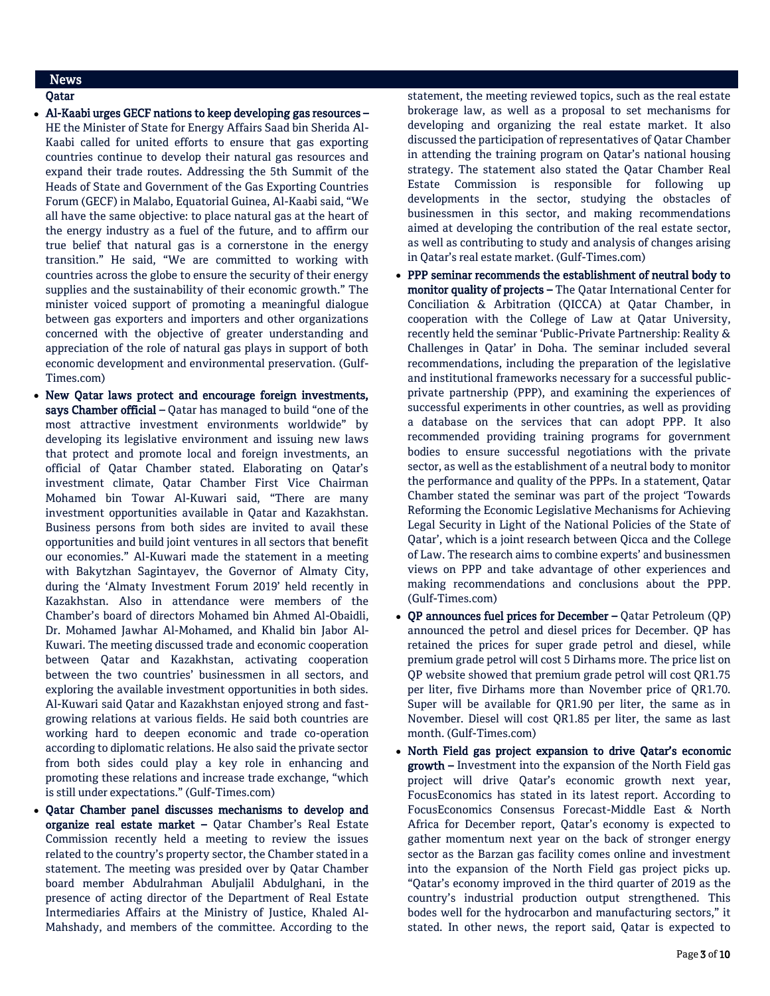# News

# Qatar

- Al-Kaabi urges GECF nations to keep developing gas resources HE the Minister of State for Energy Affairs Saad bin Sherida Al-Kaabi called for united efforts to ensure that gas exporting countries continue to develop their natural gas resources and expand their trade routes. Addressing the 5th Summit of the Heads of State and Government of the Gas Exporting Countries Forum (GECF) in Malabo, Equatorial Guinea, Al-Kaabi said, "We all have the same objective: to place natural gas at the heart of the energy industry as a fuel of the future, and to affirm our true belief that natural gas is a cornerstone in the energy transition." He said, "We are committed to working with countries across the globe to ensure the security of their energy supplies and the sustainability of their economic growth." The minister voiced support of promoting a meaningful dialogue between gas exporters and importers and other organizations concerned with the objective of greater understanding and appreciation of the role of natural gas plays in support of both economic development and environmental preservation. (Gulf-Times.com)
- New Qatar laws protect and encourage foreign investments, says Chamber official – Qatar has managed to build "one of the most attractive investment environments worldwide" by developing its legislative environment and issuing new laws that protect and promote local and foreign investments, an official of Qatar Chamber stated. Elaborating on Qatar's investment climate, Qatar Chamber First Vice Chairman Mohamed bin Towar Al-Kuwari said, "There are many investment opportunities available in Qatar and Kazakhstan. Business persons from both sides are invited to avail these opportunities and build joint ventures in all sectors that benefit our economies." Al-Kuwari made the statement in a meeting with Bakytzhan Sagintayev, the Governor of Almaty City, during the 'Almaty Investment Forum 2019' held recently in Kazakhstan. Also in attendance were members of the Chamber's board of directors Mohamed bin Ahmed Al-Obaidli, Dr. Mohamed Jawhar Al-Mohamed, and Khalid bin Jabor Al-Kuwari. The meeting discussed trade and economic cooperation between Qatar and Kazakhstan, activating cooperation between the two countries' businessmen in all sectors, and exploring the available investment opportunities in both sides. Al-Kuwari said Qatar and Kazakhstan enjoyed strong and fastgrowing relations at various fields. He said both countries are working hard to deepen economic and trade co-operation according to diplomatic relations. He also said the private sector from both sides could play a key role in enhancing and promoting these relations and increase trade exchange, "which is still under expectations." (Gulf-Times.com)
- Qatar Chamber panel discusses mechanisms to develop and organize real estate market – Qatar Chamber's Real Estate Commission recently held a meeting to review the issues related to the country's property sector, the Chamber stated in a statement. The meeting was presided over by Qatar Chamber board member Abdulrahman Abuljalil Abdulghani, in the presence of acting director of the Department of Real Estate Intermediaries Affairs at the Ministry of Justice, Khaled Al-Mahshady, and members of the committee. According to the

statement, the meeting reviewed topics, such as the real estate brokerage law, as well as a proposal to set mechanisms for developing and organizing the real estate market. It also discussed the participation of representatives of Qatar Chamber in attending the training program on Qatar's national housing strategy. The statement also stated the Qatar Chamber Real Estate Commission is responsible for following up developments in the sector, studying the obstacles of businessmen in this sector, and making recommendations aimed at developing the contribution of the real estate sector, as well as contributing to study and analysis of changes arising in Qatar's real estate market. (Gulf-Times.com)

- PPP seminar recommends the establishment of neutral body to monitor quality of projects - The Qatar International Center for Conciliation & Arbitration (QICCA) at Qatar Chamber, in cooperation with the College of Law at Qatar University, recently held the seminar 'Public-Private Partnership: Reality & Challenges in Qatar' in Doha. The seminar included several recommendations, including the preparation of the legislative and institutional frameworks necessary for a successful publicprivate partnership (PPP), and examining the experiences of successful experiments in other countries, as well as providing a database on the services that can adopt PPP. It also recommended providing training programs for government bodies to ensure successful negotiations with the private sector, as well as the establishment of a neutral body to monitor the performance and quality of the PPPs. In a statement, Qatar Chamber stated the seminar was part of the project 'Towards Reforming the Economic Legislative Mechanisms for Achieving Legal Security in Light of the National Policies of the State of Qatar', which is a joint research between Qicca and the College of Law. The research aims to combine experts' and businessmen views on PPP and take advantage of other experiences and making recommendations and conclusions about the PPP. (Gulf-Times.com)
- QP announces fuel prices for December Qatar Petroleum (QP) announced the petrol and diesel prices for December. QP has retained the prices for super grade petrol and diesel, while premium grade petrol will cost 5 Dirhams more. The price list on QP website showed that premium grade petrol will cost QR1.75 per liter, five Dirhams more than November price of QR1.70. Super will be available for QR1.90 per liter, the same as in November. Diesel will cost QR1.85 per liter, the same as last month. (Gulf-Times.com)
- North Field gas project expansion to drive Qatar's economic growth – Investment into the expansion of the North Field gas project will drive Qatar's economic growth next year, FocusEconomics has stated in its latest report. According to FocusEconomics Consensus Forecast-Middle East & North Africa for December report, Qatar's economy is expected to gather momentum next year on the back of stronger energy sector as the Barzan gas facility comes online and investment into the expansion of the North Field gas project picks up. "Qatar's economy improved in the third quarter of 2019 as the country's industrial production output strengthened. This bodes well for the hydrocarbon and manufacturing sectors," it stated. In other news, the report said, Qatar is expected to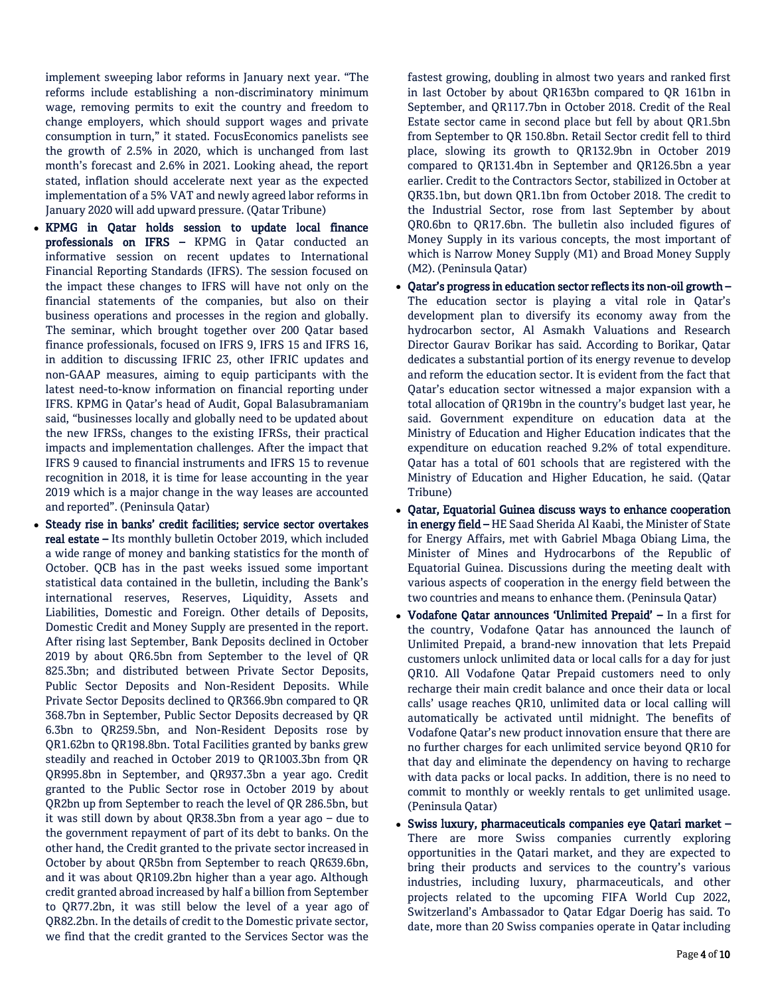implement sweeping labor reforms in January next year. "The reforms include establishing a non-discriminatory minimum wage, removing permits to exit the country and freedom to change employers, which should support wages and private consumption in turn," it stated. FocusEconomics panelists see the growth of 2.5% in 2020, which is unchanged from last month's forecast and 2.6% in 2021. Looking ahead, the report stated, inflation should accelerate next year as the expected implementation of a 5% VAT and newly agreed labor reforms in January 2020 will add upward pressure. (Qatar Tribune)

- KPMG in Qatar holds session to update local finance professionals on IFRS – KPMG in Qatar conducted an informative session on recent updates to International Financial Reporting Standards (IFRS). The session focused on the impact these changes to IFRS will have not only on the financial statements of the companies, but also on their business operations and processes in the region and globally. The seminar, which brought together over 200 Qatar based finance professionals, focused on IFRS 9, IFRS 15 and IFRS 16, in addition to discussing IFRIC 23, other IFRIC updates and non-GAAP measures, aiming to equip participants with the latest need-to-know information on financial reporting under IFRS. KPMG in Qatar's head of Audit, Gopal Balasubramaniam said, "businesses locally and globally need to be updated about the new IFRSs, changes to the existing IFRSs, their practical impacts and implementation challenges. After the impact that IFRS 9 caused to financial instruments and IFRS 15 to revenue recognition in 2018, it is time for lease accounting in the year 2019 which is a major change in the way leases are accounted and reported". (Peninsula Qatar)
- Steady rise in banks' credit facilities; service sector overtakes real estate – Its monthly bulletin October 2019, which included a wide range of money and banking statistics for the month of October. QCB has in the past weeks issued some important statistical data contained in the bulletin, including the Bank's international reserves, Reserves, Liquidity, Assets and Liabilities, Domestic and Foreign. Other details of Deposits, Domestic Credit and Money Supply are presented in the report. After rising last September, Bank Deposits declined in October 2019 by about QR6.5bn from September to the level of QR 825.3bn; and distributed between Private Sector Deposits, Public Sector Deposits and Non-Resident Deposits. While Private Sector Deposits declined to QR366.9bn compared to QR 368.7bn in September, Public Sector Deposits decreased by QR 6.3bn to QR259.5bn, and Non-Resident Deposits rose by QR1.62bn to QR198.8bn. Total Facilities granted by banks grew steadily and reached in October 2019 to QR1003.3bn from QR QR995.8bn in September, and QR937.3bn a year ago. Credit granted to the Public Sector rose in October 2019 by about QR2bn up from September to reach the level of QR 286.5bn, but it was still down by about QR38.3bn from a year ago – due to the government repayment of part of its debt to banks. On the other hand, the Credit granted to the private sector increased in October by about QR5bn from September to reach QR639.6bn, and it was about QR109.2bn higher than a year ago. Although credit granted abroad increased by half a billion from September to QR77.2bn, it was still below the level of a year ago of QR82.2bn. In the details of credit to the Domestic private sector, we find that the credit granted to the Services Sector was the

fastest growing, doubling in almost two years and ranked first in last October by about QR163bn compared to QR 161bn in September, and QR117.7bn in October 2018. Credit of the Real Estate sector came in second place but fell by about QR1.5bn from September to QR 150.8bn. Retail Sector credit fell to third place, slowing its growth to QR132.9bn in October 2019 compared to QR131.4bn in September and QR126.5bn a year earlier. Credit to the Contractors Sector, stabilized in October at QR35.1bn, but down QR1.1bn from October 2018. The credit to the Industrial Sector, rose from last September by about QR0.6bn to QR17.6bn. The bulletin also included figures of Money Supply in its various concepts, the most important of which is Narrow Money Supply (M1) and Broad Money Supply (M2). (Peninsula Qatar)

- Qatar's progress in education sector reflects its non-oil growth The education sector is playing a vital role in Qatar's development plan to diversify its economy away from the hydrocarbon sector, Al Asmakh Valuations and Research Director Gaurav Borikar has said. According to Borikar, Qatar dedicates a substantial portion of its energy revenue to develop and reform the education sector. It is evident from the fact that Qatar's education sector witnessed a major expansion with a total allocation of QR19bn in the country's budget last year, he said. Government expenditure on education data at the Ministry of Education and Higher Education indicates that the expenditure on education reached 9.2% of total expenditure. Qatar has a total of 601 schools that are registered with the Ministry of Education and Higher Education, he said. (Qatar Tribune)
- Qatar, Equatorial Guinea discuss ways to enhance cooperation in energy field – HE Saad Sherida Al Kaabi, the Minister of State for Energy Affairs, met with Gabriel Mbaga Obiang Lima, the Minister of Mines and Hydrocarbons of the Republic of Equatorial Guinea. Discussions during the meeting dealt with various aspects of cooperation in the energy field between the two countries and means to enhance them. (Peninsula Qatar)
- Vodafone Qatar announces 'Unlimited Prepaid' In a first for the country, Vodafone Qatar has announced the launch of Unlimited Prepaid, a brand-new innovation that lets Prepaid customers unlock unlimited data or local calls for a day for just QR10. All Vodafone Qatar Prepaid customers need to only recharge their main credit balance and once their data or local calls' usage reaches QR10, unlimited data or local calling will automatically be activated until midnight. The benefits of Vodafone Qatar's new product innovation ensure that there are no further charges for each unlimited service beyond QR10 for that day and eliminate the dependency on having to recharge with data packs or local packs. In addition, there is no need to commit to monthly or weekly rentals to get unlimited usage. (Peninsula Qatar)
- Swiss luxury, pharmaceuticals companies eye Qatari market There are more Swiss companies currently exploring opportunities in the Qatari market, and they are expected to bring their products and services to the country's various industries, including luxury, pharmaceuticals, and other projects related to the upcoming FIFA World Cup 2022, Switzerland's Ambassador to Qatar Edgar Doerig has said. To date, more than 20 Swiss companies operate in Qatar including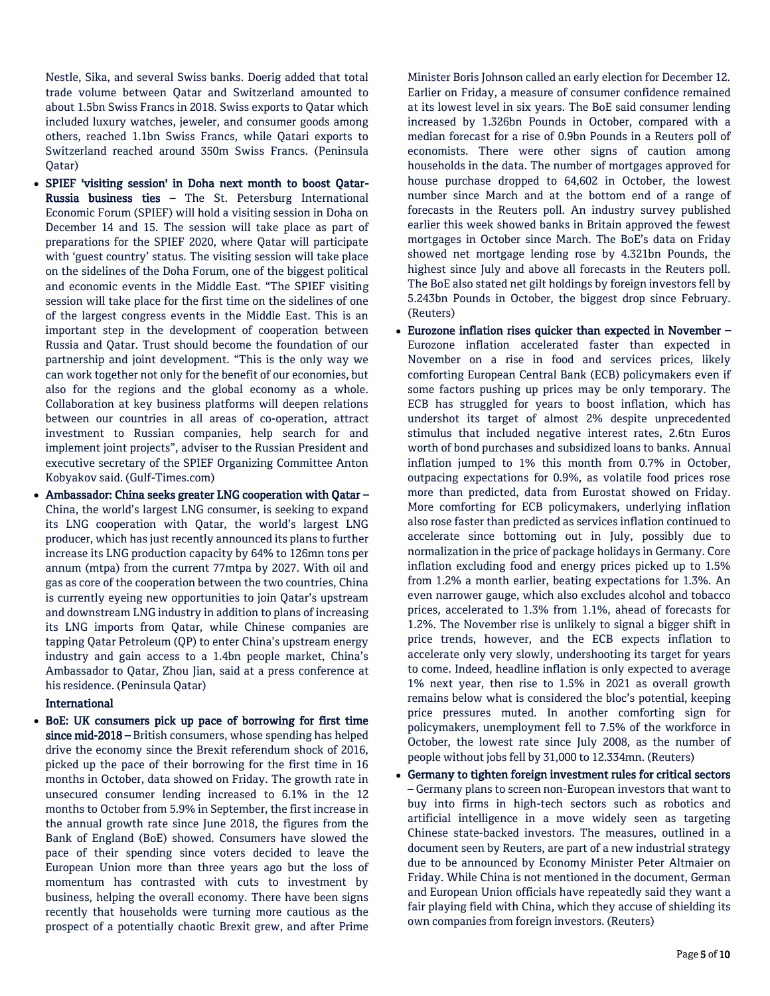Nestle, Sika, and several Swiss banks. Doerig added that total trade volume between Qatar and Switzerland amounted to about 1.5bn Swiss Francs in 2018. Swiss exports to Qatar which included luxury watches, jeweler, and consumer goods among others, reached 1.1bn Swiss Francs, while Qatari exports to Switzerland reached around 350m Swiss Francs. (Peninsula Qatar)

- SPIEF 'visiting session' in Doha next month to boost Qatar-Russia business ties – The St. Petersburg International Economic Forum (SPIEF) will hold a visiting session in Doha on December 14 and 15. The session will take place as part of preparations for the SPIEF 2020, where Qatar will participate with 'guest country' status. The visiting session will take place on the sidelines of the Doha Forum, one of the biggest political and economic events in the Middle East. "The SPIEF visiting session will take place for the first time on the sidelines of one of the largest congress events in the Middle East. This is an important step in the development of cooperation between Russia and Qatar. Trust should become the foundation of our partnership and joint development. "This is the only way we can work together not only for the benefit of our economies, but also for the regions and the global economy as a whole. Collaboration at key business platforms will deepen relations between our countries in all areas of co-operation, attract investment to Russian companies, help search for and implement joint projects", adviser to the Russian President and executive secretary of the SPIEF Organizing Committee Anton Kobyakov said. (Gulf-Times.com)
- Ambassador: China seeks greater LNG cooperation with Qatar China, the world's largest LNG consumer, is seeking to expand its LNG cooperation with Qatar, the world's largest LNG producer, which has just recently announced its plans to further increase its LNG production capacity by 64% to 126mn tons per annum (mtpa) from the current 77mtpa by 2027. With oil and gas as core of the cooperation between the two countries, China is currently eyeing new opportunities to join Qatar's upstream and downstream LNG industry in addition to plans of increasing its LNG imports from Qatar, while Chinese companies are tapping Qatar Petroleum (QP) to enter China's upstream energy industry and gain access to a 1.4bn people market, China's Ambassador to Qatar, Zhou Jian, said at a press conference at his residence. (Peninsula Qatar)

## International

 BoE: UK consumers pick up pace of borrowing for first time since mid-2018 – British consumers, whose spending has helped drive the economy since the Brexit referendum shock of 2016, picked up the pace of their borrowing for the first time in 16 months in October, data showed on Friday. The growth rate in unsecured consumer lending increased to 6.1% in the 12 months to October from 5.9% in September, the first increase in the annual growth rate since June 2018, the figures from the Bank of England (BoE) showed. Consumers have slowed the pace of their spending since voters decided to leave the European Union more than three years ago but the loss of momentum has contrasted with cuts to investment by business, helping the overall economy. There have been signs recently that households were turning more cautious as the prospect of a potentially chaotic Brexit grew, and after Prime

Minister Boris Johnson called an early election for December 12. Earlier on Friday, a measure of consumer confidence remained at its lowest level in six years. The BoE said consumer lending increased by 1.326bn Pounds in October, compared with a median forecast for a rise of 0.9bn Pounds in a Reuters poll of economists. There were other signs of caution among households in the data. The number of mortgages approved for house purchase dropped to 64,602 in October, the lowest number since March and at the bottom end of a range of forecasts in the Reuters poll. An industry survey published earlier this week showed banks in Britain approved the fewest mortgages in October since March. The BoE's data on Friday showed net mortgage lending rose by 4.321bn Pounds, the highest since July and above all forecasts in the Reuters poll. The BoE also stated net gilt holdings by foreign investors fell by 5.243bn Pounds in October, the biggest drop since February. (Reuters)

- Eurozone inflation rises quicker than expected in November Eurozone inflation accelerated faster than expected in November on a rise in food and services prices, likely comforting European Central Bank (ECB) policymakers even if some factors pushing up prices may be only temporary. The ECB has struggled for years to boost inflation, which has undershot its target of almost 2% despite unprecedented stimulus that included negative interest rates, 2.6tn Euros worth of bond purchases and subsidized loans to banks. Annual inflation jumped to 1% this month from 0.7% in October, outpacing expectations for 0.9%, as volatile food prices rose more than predicted, data from Eurostat showed on Friday. More comforting for ECB policymakers, underlying inflation also rose faster than predicted as services inflation continued to accelerate since bottoming out in July, possibly due to normalization in the price of package holidays in Germany. Core inflation excluding food and energy prices picked up to 1.5% from 1.2% a month earlier, beating expectations for 1.3%. An even narrower gauge, which also excludes alcohol and tobacco prices, accelerated to 1.3% from 1.1%, ahead of forecasts for 1.2%. The November rise is unlikely to signal a bigger shift in price trends, however, and the ECB expects inflation to accelerate only very slowly, undershooting its target for years to come. Indeed, headline inflation is only expected to average 1% next year, then rise to 1.5% in 2021 as overall growth remains below what is considered the bloc's potential, keeping price pressures muted. In another comforting sign for policymakers, unemployment fell to 7.5% of the workforce in October, the lowest rate since July 2008, as the number of people without jobs fell by 31,000 to 12.334mn. (Reuters)
- Germany to tighten foreign investment rules for critical sectors – Germany plans to screen non-European investors that want to buy into firms in high-tech sectors such as robotics and artificial intelligence in a move widely seen as targeting Chinese state-backed investors. The measures, outlined in a document seen by Reuters, are part of a new industrial strategy due to be announced by Economy Minister Peter Altmaier on Friday. While China is not mentioned in the document, German and European Union officials have repeatedly said they want a fair playing field with China, which they accuse of shielding its own companies from foreign investors. (Reuters)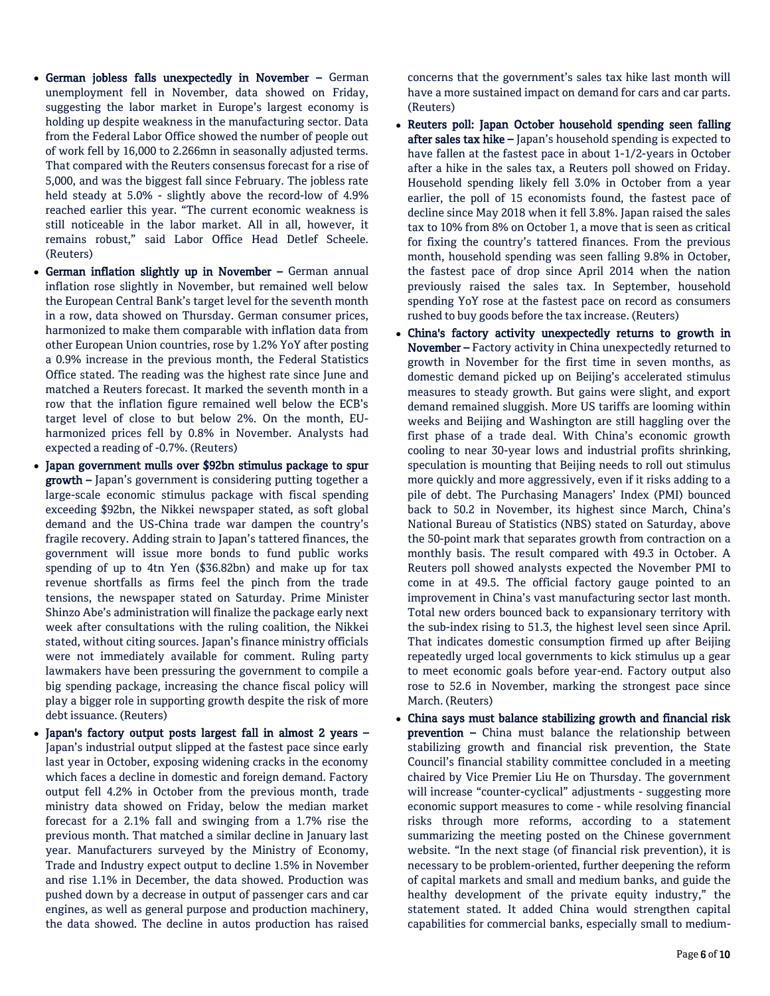- German jobless falls unexpectedly in November German unemployment fell in November, data showed on Friday, suggesting the labor market in Europe's largest economy is holding up despite weakness in the manufacturing sector. Data from the Federal Labor Office showed the number of people out of work fell by 16,000 to 2.266mn in seasonally adjusted terms. That compared with the Reuters consensus forecast for a rise of 5,000, and was the biggest fall since February. The jobless rate held steady at 5.0% - slightly above the record-low of 4.9% reached earlier this year. "The current economic weakness is still noticeable in the labor market. All in all, however, it remains robust," said Labor Office Head Detlef Scheele. (Reuters)
- German inflation slightly up in November German annual inflation rose slightly in November, but remained well below the European Central Bank's target level for the seventh month in a row, data showed on Thursday. German consumer prices, harmonized to make them comparable with inflation data from other European Union countries, rose by 1.2% YoY after posting a 0.9% increase in the previous month, the Federal Statistics Office stated. The reading was the highest rate since June and matched a Reuters forecast. It marked the seventh month in a row that the inflation figure remained well below the ECB's target level of close to but below 2%. On the month, EUharmonized prices fell by 0.8% in November. Analysts had expected a reading of -0.7%. (Reuters)
- Japan government mulls over \$92bn stimulus package to spur growth – Japan's government is considering putting together a large-scale economic stimulus package with fiscal spending exceeding \$92bn, the Nikkei newspaper stated, as soft global demand and the US-China trade war dampen the country's fragile recovery. Adding strain to Japan's tattered finances, the government will issue more bonds to fund public works spending of up to 4tn Yen (\$36.82bn) and make up for tax revenue shortfalls as firms feel the pinch from the trade tensions, the newspaper stated on Saturday. Prime Minister Shinzo Abe's administration will finalize the package early next week after consultations with the ruling coalition, the Nikkei stated, without citing sources. Japan's finance ministry officials were not immediately available for comment. Ruling party lawmakers have been pressuring the government to compile a big spending package, increasing the chance fiscal policy will play a bigger role in supporting growth despite the risk of more debt issuance. (Reuters)
- Japan's factory output posts largest fall in almost 2 years Japan's industrial output slipped at the fastest pace since early last year in October, exposing widening cracks in the economy which faces a decline in domestic and foreign demand. Factory output fell 4.2% in October from the previous month, trade ministry data showed on Friday, below the median market forecast for a 2.1% fall and swinging from a 1.7% rise the previous month. That matched a similar decline in January last year. Manufacturers surveyed by the Ministry of Economy, Trade and Industry expect output to decline 1.5% in November and rise 1.1% in December, the data showed. Production was pushed down by a decrease in output of passenger cars and car engines, as well as general purpose and production machinery, the data showed. The decline in autos production has raised

concerns that the government's sales tax hike last month will have a more sustained impact on demand for cars and car parts. (Reuters)

- Reuters poll: Japan October household spending seen falling after sales tax hike - Japan's household spending is expected to have fallen at the fastest pace in about 1-1/2-years in October after a hike in the sales tax, a Reuters poll showed on Friday. Household spending likely fell 3.0% in October from a year earlier, the poll of 15 economists found, the fastest pace of decline since May 2018 when it fell 3.8%. Japan raised the sales tax to 10% from 8% on October 1, a move that is seen as critical for fixing the country's tattered finances. From the previous month, household spending was seen falling 9.8% in October, the fastest pace of drop since April 2014 when the nation previously raised the sales tax. In September, household spending YoY rose at the fastest pace on record as consumers rushed to buy goods before the tax increase. (Reuters)
- China's factory activity unexpectedly returns to growth in November – Factory activity in China unexpectedly returned to growth in November for the first time in seven months, as domestic demand picked up on Beijing's accelerated stimulus measures to steady growth. But gains were slight, and export demand remained sluggish. More US tariffs are looming within weeks and Beijing and Washington are still haggling over the first phase of a trade deal. With China's economic growth cooling to near 30-year lows and industrial profits shrinking, speculation is mounting that Beijing needs to roll out stimulus more quickly and more aggressively, even if it risks adding to a pile of debt. The Purchasing Managers' Index (PMI) bounced back to 50.2 in November, its highest since March, China's National Bureau of Statistics (NBS) stated on Saturday, above the 50-point mark that separates growth from contraction on a monthly basis. The result compared with 49.3 in October. A Reuters poll showed analysts expected the November PMI to come in at 49.5. The official factory gauge pointed to an improvement in China's vast manufacturing sector last month. Total new orders bounced back to expansionary territory with the sub-index rising to 51.3, the highest level seen since April. That indicates domestic consumption firmed up after Beijing repeatedly urged local governments to kick stimulus up a gear to meet economic goals before year-end. Factory output also rose to 52.6 in November, marking the strongest pace since March. (Reuters)
- China says must balance stabilizing growth and financial risk prevention - China must balance the relationship between stabilizing growth and financial risk prevention, the State Council's financial stability committee concluded in a meeting chaired by Vice Premier Liu He on Thursday. The government will increase "counter-cyclical" adjustments - suggesting more economic support measures to come - while resolving financial risks through more reforms, according to a statement summarizing the meeting posted on the Chinese government website. "In the next stage (of financial risk prevention), it is necessary to be problem-oriented, further deepening the reform of capital markets and small and medium banks, and guide the healthy development of the private equity industry," the statement stated. It added China would strengthen capital capabilities for commercial banks, especially small to medium-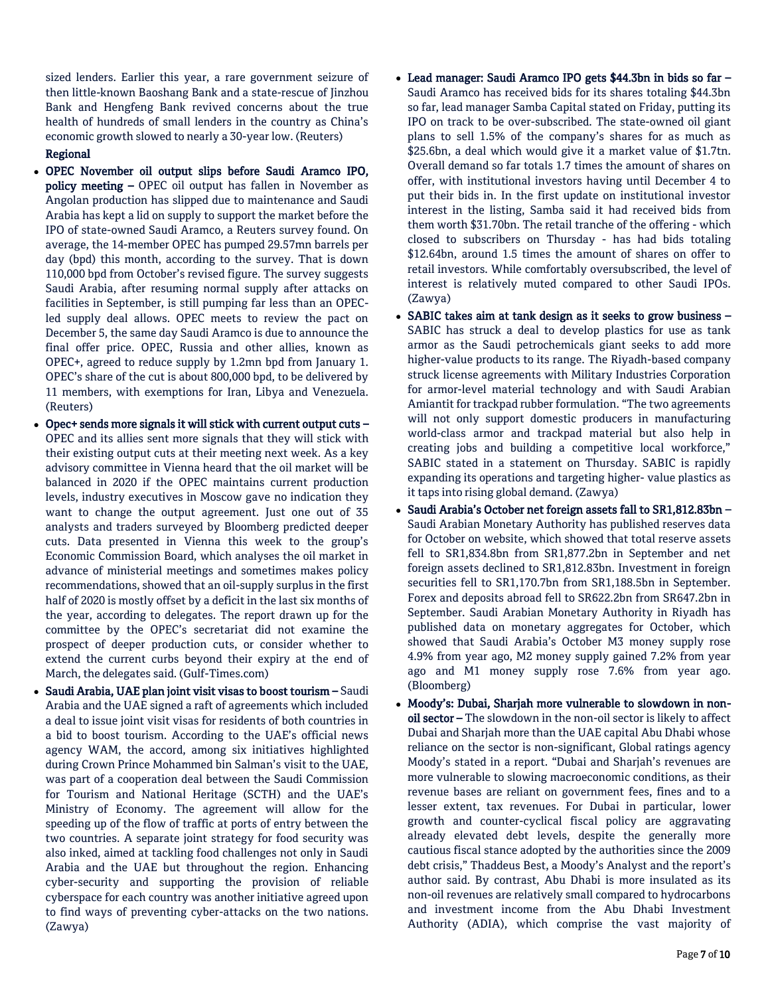sized lenders. Earlier this year, a rare government seizure of then little-known Baoshang Bank and a state-rescue of Jinzhou Bank and Hengfeng Bank revived concerns about the true health of hundreds of small lenders in the country as China's economic growth slowed to nearly a 30-year low. (Reuters)

# Regional

- OPEC November oil output slips before Saudi Aramco IPO, policy meeting – OPEC oil output has fallen in November as Angolan production has slipped due to maintenance and Saudi Arabia has kept a lid on supply to support the market before the IPO of state-owned Saudi Aramco, a Reuters survey found. On average, the 14-member OPEC has pumped 29.57mn barrels per day (bpd) this month, according to the survey. That is down 110,000 bpd from October's revised figure. The survey suggests Saudi Arabia, after resuming normal supply after attacks on facilities in September, is still pumping far less than an OPECled supply deal allows. OPEC meets to review the pact on December 5, the same day Saudi Aramco is due to announce the final offer price. OPEC, Russia and other allies, known as OPEC+, agreed to reduce supply by 1.2mn bpd from January 1. OPEC's share of the cut is about 800,000 bpd, to be delivered by 11 members, with exemptions for Iran, Libya and Venezuela. (Reuters)
- Opec+ sends more signals it will stick with current output cuts OPEC and its allies sent more signals that they will stick with their existing output cuts at their meeting next week. As a key advisory committee in Vienna heard that the oil market will be balanced in 2020 if the OPEC maintains current production levels, industry executives in Moscow gave no indication they want to change the output agreement. Just one out of 35 analysts and traders surveyed by Bloomberg predicted deeper cuts. Data presented in Vienna this week to the group's Economic Commission Board, which analyses the oil market in advance of ministerial meetings and sometimes makes policy recommendations, showed that an oil-supply surplus in the first half of 2020 is mostly offset by a deficit in the last six months of the year, according to delegates. The report drawn up for the committee by the OPEC's secretariat did not examine the prospect of deeper production cuts, or consider whether to extend the current curbs beyond their expiry at the end of March, the delegates said. (Gulf-Times.com)
- Saudi Arabia, UAE plan joint visit visas to boost tourism Saudi Arabia and the UAE signed a raft of agreements which included a deal to issue joint visit visas for residents of both countries in a bid to boost tourism. According to the UAE's official news agency WAM, the accord, among six initiatives highlighted during Crown Prince Mohammed bin Salman's visit to the UAE, was part of a cooperation deal between the Saudi Commission for Tourism and National Heritage (SCTH) and the UAE's Ministry of Economy. The agreement will allow for the speeding up of the flow of traffic at ports of entry between the two countries. A separate joint strategy for food security was also inked, aimed at tackling food challenges not only in Saudi Arabia and the UAE but throughout the region. Enhancing cyber-security and supporting the provision of reliable cyberspace for each country was another initiative agreed upon to find ways of preventing cyber-attacks on the two nations. (Zawya)
- Lead manager: Saudi Aramco IPO gets \$44.3bn in bids so far Saudi Aramco has received bids for its shares totaling \$44.3bn so far, lead manager Samba Capital stated on Friday, putting its IPO on track to be over-subscribed. The state-owned oil giant plans to sell 1.5% of the company's shares for as much as \$25.6bn, a deal which would give it a market value of \$1.7tn. Overall demand so far totals 1.7 times the amount of shares on offer, with institutional investors having until December 4 to put their bids in. In the first update on institutional investor interest in the listing, Samba said it had received bids from them worth \$31.70bn. The retail tranche of the offering - which closed to subscribers on Thursday - has had bids totaling \$12.64bn, around 1.5 times the amount of shares on offer to retail investors. While comfortably oversubscribed, the level of interest is relatively muted compared to other Saudi IPOs. (Zawya)
- SABIC takes aim at tank design as it seeks to grow business SABIC has struck a deal to develop plastics for use as tank armor as the Saudi petrochemicals giant seeks to add more higher-value products to its range. The Riyadh-based company struck license agreements with Military Industries Corporation for armor-level material technology and with Saudi Arabian Amiantit for trackpad rubber formulation. "The two agreements will not only support domestic producers in manufacturing world-class armor and trackpad material but also help in creating jobs and building a competitive local workforce," SABIC stated in a statement on Thursday. SABIC is rapidly expanding its operations and targeting higher- value plastics as it taps into rising global demand. (Zawya)
- Saudi Arabia's October net foreign assets fall to SR1,812.83bn Saudi Arabian Monetary Authority has published reserves data for October on website, which showed that total reserve assets fell to SR1,834.8bn from SR1,877.2bn in September and net foreign assets declined to SR1,812.83bn. Investment in foreign securities fell to SR1,170.7bn from SR1,188.5bn in September. Forex and deposits abroad fell to SR622.2bn from SR647.2bn in September. Saudi Arabian Monetary Authority in Riyadh has published data on monetary aggregates for October, which showed that Saudi Arabia's October M3 money supply rose 4.9% from year ago, M2 money supply gained 7.2% from year ago and M1 money supply rose 7.6% from year ago. (Bloomberg)
- Moody's: Dubai, Sharjah more vulnerable to slowdown in nonoil sector – The slowdown in the non-oil sector is likely to affect Dubai and Sharjah more than the UAE capital Abu Dhabi whose reliance on the sector is non-significant, Global ratings agency Moody's stated in a report. "Dubai and Sharjah's revenues are more vulnerable to slowing macroeconomic conditions, as their revenue bases are reliant on government fees, fines and to a lesser extent, tax revenues. For Dubai in particular, lower growth and counter-cyclical fiscal policy are aggravating already elevated debt levels, despite the generally more cautious fiscal stance adopted by the authorities since the 2009 debt crisis," Thaddeus Best, a Moody's Analyst and the report's author said. By contrast, Abu Dhabi is more insulated as its non-oil revenues are relatively small compared to hydrocarbons and investment income from the Abu Dhabi Investment Authority (ADIA), which comprise the vast majority of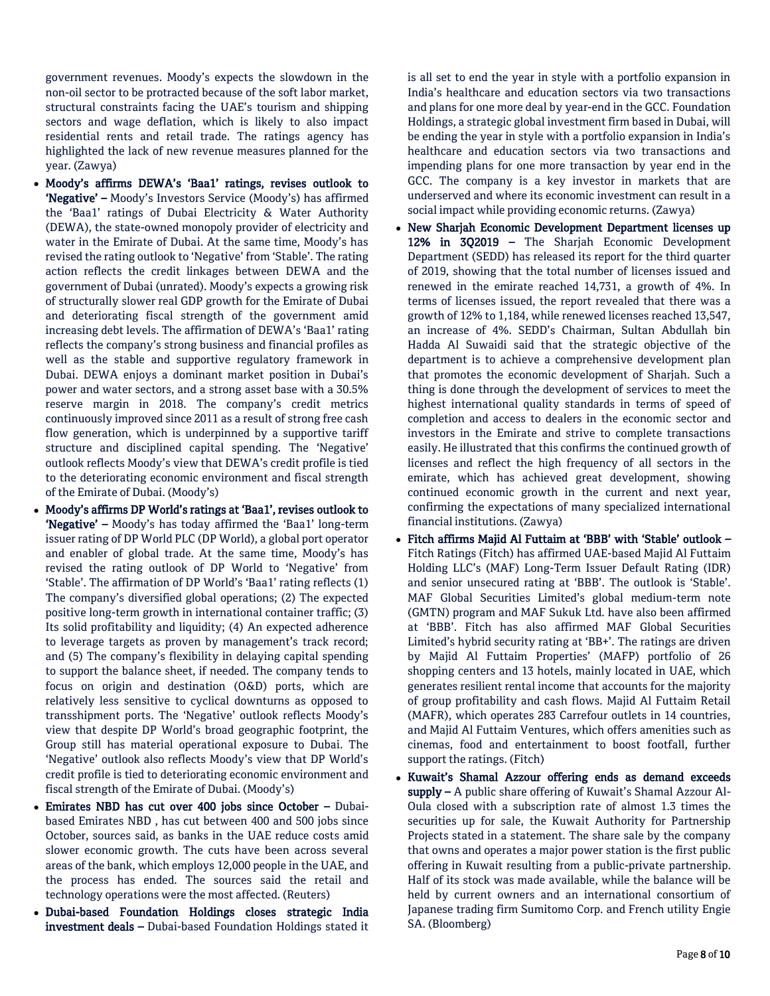government revenues. Moody's expects the slowdown in the non-oil sector to be protracted because of the soft labor market, structural constraints facing the UAE's tourism and shipping sectors and wage deflation, which is likely to also impact residential rents and retail trade. The ratings agency has highlighted the lack of new revenue measures planned for the year. (Zawya)

- Moody's affirms DEWA's 'Baa1' ratings, revises outlook to 'Negative' - Moody's Investors Service (Moody's) has affirmed the 'Baa1' ratings of Dubai Electricity & Water Authority (DEWA), the state-owned monopoly provider of electricity and water in the Emirate of Dubai. At the same time, Moody's has revised the rating outlook to 'Negative' from 'Stable'. The rating action reflects the credit linkages between DEWA and the government of Dubai (unrated). Moody's expects a growing risk of structurally slower real GDP growth for the Emirate of Dubai and deteriorating fiscal strength of the government amid increasing debt levels. The affirmation of DEWA's 'Baa1' rating reflects the company's strong business and financial profiles as well as the stable and supportive regulatory framework in Dubai. DEWA enjoys a dominant market position in Dubai's power and water sectors, and a strong asset base with a 30.5% reserve margin in 2018. The company's credit metrics continuously improved since 2011 as a result of strong free cash flow generation, which is underpinned by a supportive tariff structure and disciplined capital spending. The 'Negative' outlook reflects Moody's view that DEWA's credit profile is tied to the deteriorating economic environment and fiscal strength of the Emirate of Dubai. (Moody's)
- Moody's affirms DP World's ratings at 'Baa1', revises outlook to 'Negative' – Moody's has today affirmed the 'Baa1' long-term issuer rating of DP World PLC (DP World), a global port operator and enabler of global trade. At the same time, Moody's has revised the rating outlook of DP World to 'Negative' from 'Stable'. The affirmation of DP World's 'Baa1' rating reflects (1) The company's diversified global operations; (2) The expected positive long-term growth in international container traffic; (3) Its solid profitability and liquidity; (4) An expected adherence to leverage targets as proven by management's track record; and (5) The company's flexibility in delaying capital spending to support the balance sheet, if needed. The company tends to focus on origin and destination (O&D) ports, which are relatively less sensitive to cyclical downturns as opposed to transshipment ports. The 'Negative' outlook reflects Moody's view that despite DP World's broad geographic footprint, the Group still has material operational exposure to Dubai. The 'Negative' outlook also reflects Moody's view that DP World's credit profile is tied to deteriorating economic environment and fiscal strength of the Emirate of Dubai. (Moody's)
- Emirates NBD has cut over 400 jobs since October Dubaibased Emirates NBD , has cut between 400 and 500 jobs since October, sources said, as banks in the UAE reduce costs amid slower economic growth. The cuts have been across several areas of the bank, which employs 12,000 people in the UAE, and the process has ended. The sources said the retail and technology operations were the most affected. (Reuters)
- Dubai-based Foundation Holdings closes strategic India investment deals – Dubai-based Foundation Holdings stated it

is all set to end the year in style with a portfolio expansion in India's healthcare and education sectors via two transactions and plans for one more deal by year-end in the GCC. Foundation Holdings, a strategic global investment firm based in Dubai, will be ending the year in style with a portfolio expansion in India's healthcare and education sectors via two transactions and impending plans for one more transaction by year end in the GCC. The company is a key investor in markets that are underserved and where its economic investment can result in a social impact while providing economic returns. (Zawya)

- New Sharjah Economic Development Department licenses up 12% in 3Q2019 – The Sharjah Economic Development Department (SEDD) has released its report for the third quarter of 2019, showing that the total number of licenses issued and renewed in the emirate reached 14,731, a growth of 4%. In terms of licenses issued, the report revealed that there was a growth of 12% to 1,184, while renewed licenses reached 13,547, an increase of 4%. SEDD's Chairman, Sultan Abdullah bin Hadda Al Suwaidi said that the strategic objective of the department is to achieve a comprehensive development plan that promotes the economic development of Sharjah. Such a thing is done through the development of services to meet the highest international quality standards in terms of speed of completion and access to dealers in the economic sector and investors in the Emirate and strive to complete transactions easily. He illustrated that this confirms the continued growth of licenses and reflect the high frequency of all sectors in the emirate, which has achieved great development, showing continued economic growth in the current and next year, confirming the expectations of many specialized international financial institutions. (Zawya)
- Fitch affirms Majid Al Futtaim at 'BBB' with 'Stable' outlook Fitch Ratings (Fitch) has affirmed UAE-based Majid Al Futtaim Holding LLC's (MAF) Long-Term Issuer Default Rating (IDR) and senior unsecured rating at 'BBB'. The outlook is 'Stable'. MAF Global Securities Limited's global medium-term note (GMTN) program and MAF Sukuk Ltd. have also been affirmed at 'BBB'. Fitch has also affirmed MAF Global Securities Limited's hybrid security rating at 'BB+'. The ratings are driven by Majid Al Futtaim Properties' (MAFP) portfolio of 26 shopping centers and 13 hotels, mainly located in UAE, which generates resilient rental income that accounts for the majority of group profitability and cash flows. Majid Al Futtaim Retail (MAFR), which operates 283 Carrefour outlets in 14 countries, and Majid Al Futtaim Ventures, which offers amenities such as cinemas, food and entertainment to boost footfall, further support the ratings. (Fitch)
- Kuwait's Shamal Azzour offering ends as demand exceeds supply - A public share offering of Kuwait's Shamal Azzour Al-Oula closed with a subscription rate of almost 1.3 times the securities up for sale, the Kuwait Authority for Partnership Projects stated in a statement. The share sale by the company that owns and operates a major power station is the first public offering in Kuwait resulting from a public-private partnership. Half of its stock was made available, while the balance will be held by current owners and an international consortium of Japanese trading firm Sumitomo Corp. and French utility Engie SA. (Bloomberg)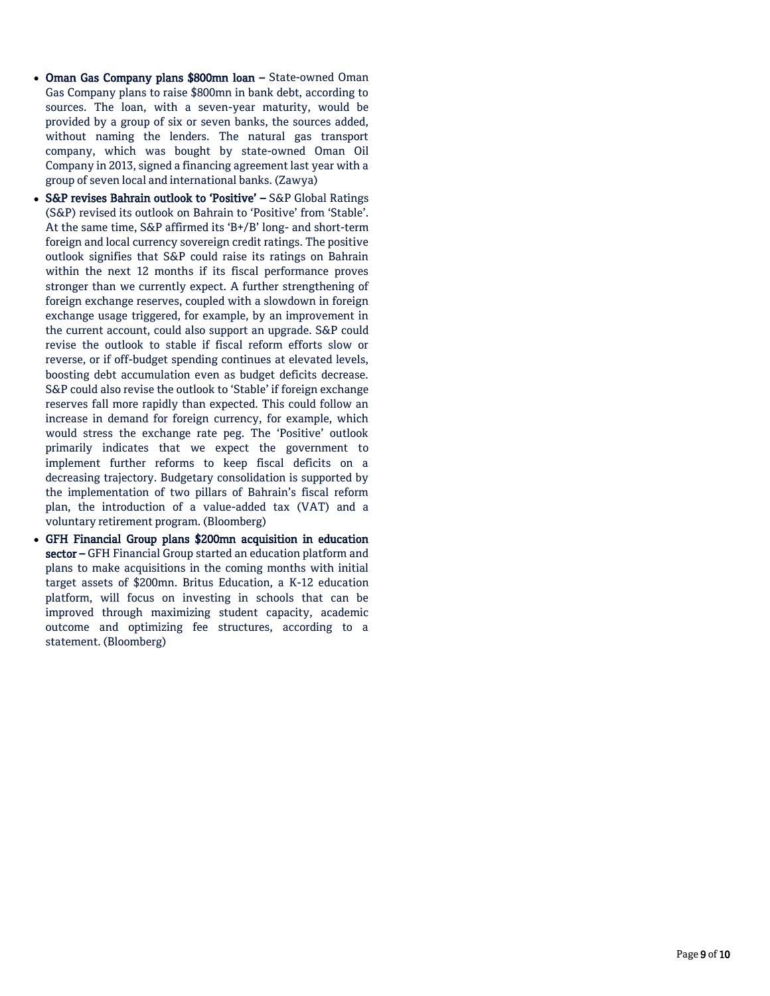- Oman Gas Company plans \$800mn loan State-owned Oman Gas Company plans to raise \$800mn in bank debt, according to sources. The loan, with a seven-year maturity, would be provided by a group of six or seven banks, the sources added, without naming the lenders. The natural gas transport company, which was bought by state-owned Oman Oil Company in 2013, signed a financing agreement last year with a group of seven local and international banks. (Zawya)
- S&P revises Bahrain outlook to 'Positive' S&P Global Ratings (S&P) revised its outlook on Bahrain to 'Positive' from 'Stable'. At the same time, S&P affirmed its 'B+/B' long- and short-term foreign and local currency sovereign credit ratings. The positive outlook signifies that S&P could raise its ratings on Bahrain within the next 12 months if its fiscal performance proves stronger than we currently expect. A further strengthening of foreign exchange reserves, coupled with a slowdown in foreign exchange usage triggered, for example, by an improvement in the current account, could also support an upgrade. S&P could revise the outlook to stable if fiscal reform efforts slow or reverse, or if off-budget spending continues at elevated levels, boosting debt accumulation even as budget deficits decrease. S&P could also revise the outlook to 'Stable' if foreign exchange reserves fall more rapidly than expected. This could follow an increase in demand for foreign currency, for example, which would stress the exchange rate peg. The 'Positive' outlook primarily indicates that we expect the government to implement further reforms to keep fiscal deficits on a decreasing trajectory. Budgetary consolidation is supported by the implementation of two pillars of Bahrain's fiscal reform plan, the introduction of a value-added tax (VAT) and a voluntary retirement program. (Bloomberg)
- GFH Financial Group plans \$200mn acquisition in education sector – GFH Financial Group started an education platform and plans to make acquisitions in the coming months with initial target assets of \$200mn. Britus Education, a K-12 education platform, will focus on investing in schools that can be improved through maximizing student capacity, academic outcome and optimizing fee structures, according to a statement. (Bloomberg)